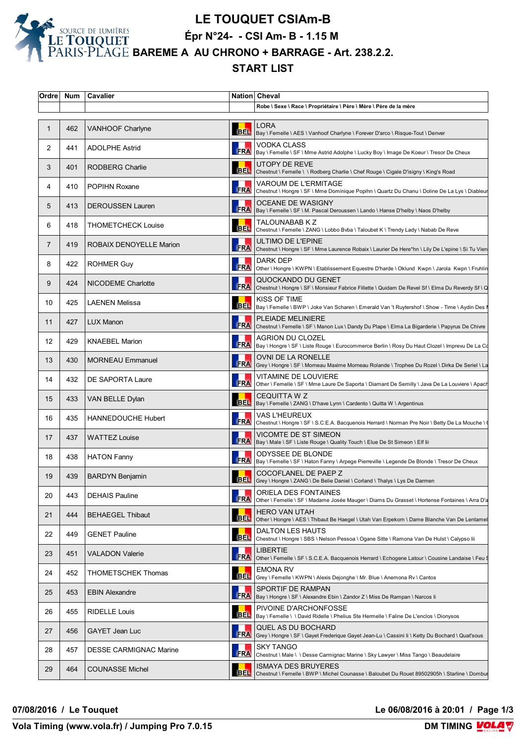

# **LE TOUQUET CSIAm-B**

**Épr N°24- - CSI Am- B - 1.15 M** 

**BAREME A AU CHRONO + BARRAGE - Art. 238.2.2.**

#### **START LIST**

| Ordre           | Num | Cavalier                      |            | Nation Cheval                                                                                                          |
|-----------------|-----|-------------------------------|------------|------------------------------------------------------------------------------------------------------------------------|
|                 |     |                               |            | Robe \ Sexe \ Race \ Propriétaire \ Père \ Mère \ Père de la mère                                                      |
| $\mathbf{1}$    | 462 | VANHOOF Charlyne              |            | LORA<br>BEL   Bay \ Femelle \ AES \ Vanhoof Charlyne \ Forever D'arco \ Risque-Tout \ Denver                           |
| 2               | 441 | <b>ADOLPHE Astrid</b>         | <b>FRA</b> | <b>VODKA CLASS</b><br>Bay \ Femelle \ SF \ Mme Astrid Adolphe \ Lucky Boy \ Image De Koeur \ Tresor De Cheux           |
| 3               | 401 | RODBERG Charlie               | <b>BEL</b> | UTOPY DE REVE<br>Chestnut \ Femelle \ \ Rodberg Charlie \ Chef Rouge \ Cigale D'isigny \ King's Road                   |
| 4               | 410 | <b>POPIHN Roxane</b>          | FRA        | VAROUM DE L'ERMITAGE<br>Chestnut \ Hongre \ SF \ Mme Dominique Popihn \ Quartz Du Chanu \ Doline De La Lys \ Diableur  |
| 5               | 413 | <b>DEROUSSEN Lauren</b>       |            | <b>OCEANE DE WASIGNY</b><br>FRA   Bay \ Femelle \ SF \ M. Pascal Deroussen \ Lando \ Hanse D'helby \ Naos D'helby      |
| 6               | 418 | <b>THOMETCHECK Louise</b>     | <b>BEL</b> | TALOUNABAB K Z<br>Chestnut \ Femelle \ ZANG \ Lobbo Bvba \ Taloubet K \ Trendy Lady \ Nabab De Reve                    |
| 7               | 419 | ROBAIX DENOYELLE Marion       | <b>FRA</b> | ULTIMO DE L'EPINE<br>Chestnut \ Hongre \ SF \ Mme Laurence Robaix \ Laurier De Here*hn \ Lily De L'epine \ Si Tu Vien  |
| 8               | 422 | <b>ROHMER Guy</b>             | FRA        | DARK DEP<br>Other \ Hongre \ KWPN \ Etablissement Equestre D'harde \ Oklund Kwpn \ Jarola Kwpn \ Fruhlin               |
| 9               | 424 | NICODEME Charlotte            | <b>FRA</b> | QUOCKANDO DU GENET<br>Chestnut \ Hongre \ SF \ Monsieur Fabrice Fillette \ Quidam De Revel Sf \ Elma Du Reverdy Sf \ Q |
| 10              | 425 | <b>LAENEN Melissa</b>         | <b>BEL</b> | KISS OF TIME<br>Bay \ Femelle \ BWP \ Joke Van Scharen \ Emerald Van 't Ruytershof \ Show - Time \ Aydin Des I         |
| 11              | 427 | <b>LUX Manon</b>              | <b>FRA</b> | PLEIADE MELINIERE<br>Chestnut \ Femelle \ SF \ Manon Lux \ Dandy Du Plape \ Elma La Bigarderie \ Papyrus De Chivre     |
| 12 <sup>°</sup> | 429 | <b>KNAEBEL Marion</b>         | <b>FRA</b> | AGRION DU CLOZEL<br>Bay \ Hongre \ SF \ Liste Rouge \ Eurocommerce Berlin \ Rosy Du Haut Clozel \ Imprevu De La Cd     |
| 13              | 430 | <b>MORNEAU Emmanuel</b>       | <b>FRA</b> | OVNI DE LA RONELLE<br>Grey \ Hongre \ SF \ Morneau Maxime Morneau Rolande \ Trophee Du Rozel \ Dirka De Seriel \ La    |
| 14              | 432 | DE SAPORTA Laure              | <b>FRA</b> | VITAMINE DE LOUVIERE<br>Other \ Femelle \ SF \ Mme Laure De Saporta \ Diamant De Semilly \ Java De La Louviere \ Apach |
| 15              | 433 | VAN BELLE Dylan               | <b>BEL</b> | CEQUITTA W Z<br>Bay \ Femelle \ ZANG \ D'have Lynn \ Cardento \ Quitta W \ Argentinus                                  |
| 16              | 435 | <b>HANNEDOUCHE Hubert</b>     | <b>FRA</b> | VAS L'HEUREUX<br>Chestnut \ Hongre \ SF \ S.C.E.A. Bacquenois Herrard \ Norman Pre Noir \ Betty De La Mouche \ \       |
| 17              | 437 | <b>WATTEZ Louise</b>          | <b>FRA</b> | VICOMTE DE ST SIMEON<br>Bay \ Male \ SF \ Liste Rouge \ Quality Touch \ Elue De St Simeon \ Elf lii                    |
| 18              | 438 | <b>HATON Fanny</b>            |            | ODYSSEE DE BLONDE<br>FRA   Bay \ Femelle \ SF \ Haton Fanny \ Arpege Pierreville \ Legende De Blonde \ Tresor De Cheux |
| 19              | 439 | BARDYN Benjamin               |            | COCOFLANEL DE PAEP Z<br>BEL Grey \ Hongre \ ZANG \ De Belie Daniel \ Corland \ Thalys \ Lys De Darmen                  |
| 20              | 443 | <b>DEHAIS Pauline</b>         | <b>FRA</b> | ORIELA DES FONTAINES<br>Other \ Femelle \ SF \ Madame Josée Mauger \ Diams Du Grasset \ Hortense Fontaines \ Arra D'a  |
| 21              | 444 | <b>BEHAEGEL Thibaut</b>       | <b>BEL</b> | HERO VAN UTAH<br>Other \ Hongre \ AES \ Thibaut Be Haegel \ Utah Van Erpekom \ Dame Blanche Van De Lentamel            |
| 22              | 449 | <b>GENET Pauline</b>          | <b>BEL</b> | DALTON LES HAUTS<br>Chestnut \ Hongre \ SBS \ Nelson Pessoa \ Ogane Sitte \ Ramona Van De Hulst \ Calypso lii          |
| 23              | 451 | <b>VALADON Valerie</b>        | <b>FRA</b> | LIBERTIE<br>Other \ Femelle \ SF \ S.C.E.A. Bacquenois Herrard \ Echogene Latour \ Cousine Landaise \ Feu \$           |
| 24              | 452 | <b>THOMETSCHEK Thomas</b>     | <b>BEL</b> | EMONA RV<br>Grey \ Femelle \ KWPN \ Alexis Dejonghe \ Mr. Blue \ Anemona Rv \ Cantos                                   |
| 25              | 453 | <b>EBIN Alexandre</b>         | <b>FRA</b> | SPORTIF DE RAMPAN<br>Bay \ Hongre \ SF \ Alexandre Ebin \ Zandor Z \ Miss De Rampan \ Narcos li                        |
| 26              | 455 | <b>RIDELLE Louis</b>          | <b>BEL</b> | PIVOINE D'ARCHONFOSSE<br>Bay \ Femelle \ \ David Ridelle \ Phelius Ste Hermelle \ Faline De L'enclos \ Dionysos        |
| 27              | 456 | GAYET Jean Luc                | <b>FRA</b> | QUEL AS DU BOCHARD<br>Grey \ Hongre \ SF \ Gayet Frederique Gayet Jean-Lu \ Cassini li \ Ketty Du Bochard \ Quat'sous  |
| 28              | 457 | <b>DESSE CARMIGNAC Marine</b> | <b>FRA</b> | SKY TANGO<br>Chestnut \ Male \ \ Desse Carmignac Marine \ Sky Lawyer \ Miss Tango \ Beaudelaire                        |
| 29              | 464 | <b>COUNASSE Michel</b>        | <b>BEL</b> | ISMAYA DES BRUYERES<br>Chestnut \ Femelle \ BWP \ Michel Counasse \ Baloubet Du Rouet 89502905h \ Starline \ Dombur    |

**07/08/2016 / Le Touquet Le 06/08/2016 à 20:01 / Page 1/3**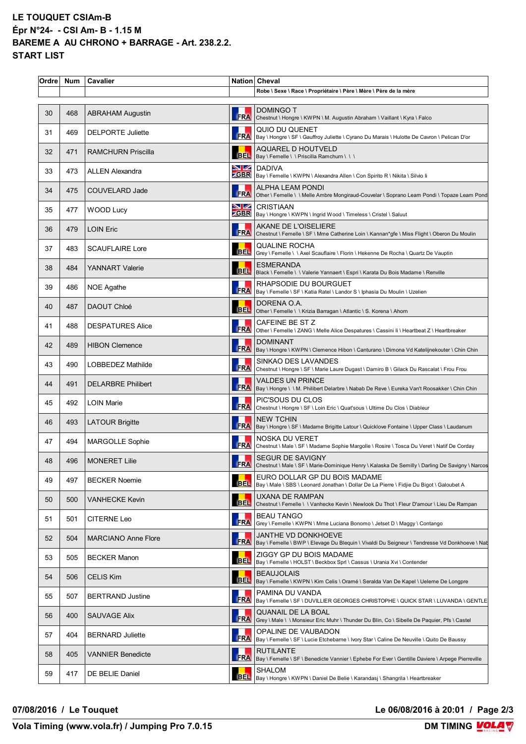### **LE TOUQUET CSIAm-B Épr N°24- - CSI Am- B - 1.15 M BAREME A AU CHRONO + BARRAGE - Art. 238.2.2. START LIST**

| Ordre | <b>Num</b> | Cavalier                   |            | Nation Cheval                                                                                                                                                |
|-------|------------|----------------------------|------------|--------------------------------------------------------------------------------------------------------------------------------------------------------------|
|       |            |                            |            | Robe \ Sexe \ Race \ Propriétaire \ Père \ Mère \ Père de la mère                                                                                            |
| 30    | 468        | <b>ABRAHAM Augustin</b>    | <b>FRA</b> | <b>DOMINGO T</b><br>Chestnut \ Hongre \ KWPN \ M. Augustin Abraham \ Vaillant \ Kyra \ Falco                                                                 |
| 31    | 469        | <b>DELPORTE Juliette</b>   |            | QUIO DU QUENET<br>RA QUIU DU QUENE I<br>FRA Bay \ Hongre \ SF \ Gauffroy Juliette \ Cyrano Du Marais \ Hulotte De Cavron \ Pelican D'or                      |
| 32    | 471        | <b>RAMCHURN Priscilla</b>  |            | <b>AQUAREL D HOUTVELD</b><br>BEL   Bay \ Femelle \ \ Priscilla Ramchurn \ \ \                                                                                |
| 33    | 473        | <b>ALLEN Alexandra</b>     |            | <b>NZ</b> DADIVA<br><b>ZGBR</b>   Bay \ Femelle \ KWPN \ Alexandra Allen \ Con Spirito R \ Nikita \ Silvio li                                                |
| 34    | 475        | COUVELARD Jade             | <b>FRA</b> | ALPHA LEAM PONDI<br>Other \ Femelle \ \ Melle Ambre Mongiraud-Couvelar \ Soprano Leam Pondi \ Topaze Leam Pond                                               |
| 35    | 477        | <b>WOOD Lucy</b>           |            | <b>NZ</b> CRISTIAAN<br><b>CGBR</b>   Bay \ Hongre \ KWPN \ Ingrid Wood \ Timeless \ Cristel \ Saluut                                                         |
| 36    | 479        | <b>LOIN Eric</b>           |            | AKANE DE L'OISELIERE<br>FRA Chestnut \ Femelle \ SF \ Mme Catherine Loin \ Kannan*gfe \ Miss Flight \ Oberon Du Moulin                                       |
| 37    | 483        | <b>SCAUFLAIRE Lore</b>     |            | <b>QUALINE ROCHA</b><br>BEL Grey \ Femelle \ \ Axel Scauflaire \ Florin \ Hekenne De Rocha \ Quartz De Vauptin                                               |
| 38    | 484        | <b>YANNART Valerie</b>     | <b>BEL</b> | <b>ESMERANDA</b><br>Black \ Femelle \ \ Valerie Yannaert \ Espri \ Karata Du Bois Madame \ Renville                                                          |
| 39    | 486        | NOE Agathe                 |            | RHAPSODIE DU BOURGUET<br>FRA   Bay \ Femelle \ SF \ Katia Ratel \ Landor S \ Iphasia Du Moulin \ Uzelien                                                     |
| 40    | 487        | DAOUT Chloé                | <b>BEL</b> | DORENA O.A.<br>Other \ Femelle \ \ Krizia Barragan \ Atlantic \ S. Korena \ Ahorn                                                                            |
| 41    | 488        | <b>DESPATURES Alice</b>    | <b>FRA</b> | CAFEINE BE ST Z<br>Other \ Femelle \ ZANG \ Melle Alice Despatures \ Cassini li \ Heartbeat Z \ Heartbreaker                                                 |
| 42    | 489        | <b>HIBON Clemence</b>      |            | <b>DOMINANT</b>                                                                                                                                              |
| 43    | 490        | LOBBEDEZ Mathilde          |            | SINKAO DES LAVANDES<br>SINKAU DES LAVAINDES<br>FRA Chestnut \ Hongre \ SF \ Marie Laure Dugast \ Damiro B \ Gilack Du Rascalat \ Frou Frou                   |
| 44    | 491        | <b>DELARBRE Philibert</b>  |            | VALDES UN PRINCE<br>FRA   Bay \ Hongre \ \ M. Philibert Delarbre \ Nabab De Reve \ Eureka Van't Roosakker \ Chin Chin                                        |
| 45    | 492        | <b>LOIN Marie</b>          | <b>FRA</b> | PIC'SOUS DU CLOS<br>Chestnut \ Hongre \ SF \ Loin Eric \ Quat'sous \ Ultime Du Clos \ Diableur                                                               |
| 46    | 493        | <b>LATOUR Brigitte</b>     |            | <b>NEW TCHIN</b><br>FRA   Bay \ Hongre \ SF \ Madame Brigitte Latour \ Quicklove Fontaine \ Upper Class \ Laudanum                                           |
| 47    | 494        | <b>MARGOLLE Sophie</b>     |            | NOSKA DU VERET<br>FRA   Chestnut \ Male \ SF \ Madame Sophie Margolle \ Rosire \ Tosca Du Veret \ Natif De Corday                                            |
| 48    | 496        | <b>MONERET Lilie</b>       | <b>FRA</b> | <b>SEGUR DE SAVIGNY</b><br> Chestnut \ Male \ SF \ Marie-Dominique Henry \ Kalaska De Semilly \ Darling De Savigny \ Narcos                                  |
| 49    | 497        | <b>BECKER Noemie</b>       | <b>BEL</b> | EURO DOLLAR GP DU BOIS MADAME<br>Bay \ Male \ SBS \ Leonard Jonathan \ Dollar De La Pierre \ Fidjie Du Bigot \ Galoubet A                                    |
| 50    | 500        | VANHECKE Kevin             |            | UXANA DE RAMPAN<br>BEL Chestnut \ Femelle \ \ Vanhecke Kevin \ Newlook Du Thot \ Fleur D'amour \ Lieu De Rampan                                              |
| 51    | 501        | CITERNE Leo                | FRA        | <b>BEAU TANGO</b><br> Grey \ Femelle \ KWPN \ Mme Luciana Bonomo \ Jetset D \ Maggy \ Contango                                                               |
| 52    | 504        | <b>MARCIANO Anne Flore</b> | <b>FRA</b> | <b>JANTHE VD DONKHOEVE</b><br> Bay \ Femelle \ BWP \ Elevage Du Blequin \ Vivaldi Du Seigneur \ Tendresse Vd Donkhoeve \ Nab                                 |
| 53    | 505        | <b>BECKER Manon</b>        |            | ZIGGY GP DU BOIS MADAME<br>BEL   Bay \ Femelle \ HOLST \ Beckbox Sprl \ Cassus \ Urania Xvi \ Contender                                                      |
| 54    | 506        | <b>CELIS Kim</b>           | <b>BEL</b> | <b>BEAUJOLAIS</b><br>Bay \ Femelle \ KWPN \ Kim Celis \ Oramé \ Seralda Van De Kapel \ Ueleme De Longpre                                                     |
| 55    | 507        | <b>BERTRAND Justine</b>    | <b>FRA</b> | PAMINA DU VANDA<br>Bay \ Femelle \ SF \ DUVILLIER GEORGES CHRISTOPHE \ QUICK STAR \ LUVANDA \ GENTLE                                                         |
| 56    | 400        | SAUVAGE Alix               | FRA        | QUANAIL DE LA BOAL<br> Grey \ Male \ \ Monsieur Eric Muhr \ Thunder Du Blin, Co \ Sibelle De Paquier, Pfs \ Castel                                           |
| 57    | 404        | <b>BERNARD Juliette</b>    |            | OPALINE DE VAUBADON<br><b>FRA</b>   UPALIINE DE VAUDADOIN<br>FRA   Bay \ Femelle \ SF \ Lucie Etchebarne \ Ivory Star \ Caline De Neuville \ Quito De Baussy |
| 58    | 405        | <b>VANNIER Benedicte</b>   | <b>FRA</b> | RUTILANTE<br>Bay \ Femelle \ SF \ Benedicte Vannier \ Ephebe For Ever \ Gentille Daviere \ Arpege Pierreville                                                |
| 59    | 417        | DE BELIE Daniel            | <b>BEL</b> | SHALOM<br>Bay \ Hongre \ KWPN \ Daniel De Belie \ Karandasj \ Shangrila \ Heartbreaker                                                                       |

#### **07/08/2016 / Le Touquet Le 06/08/2016 à 20:01 / Page 2/3**